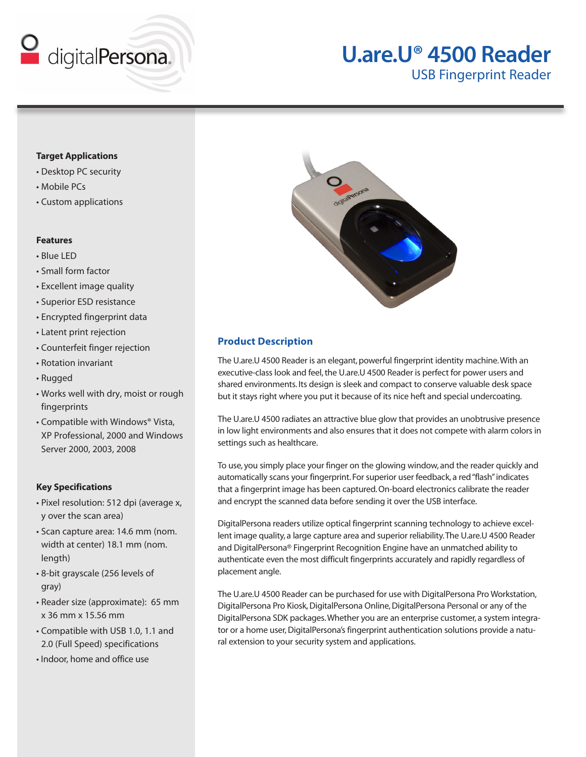

# **U.are.U® 4500 Reader**

USB Fingerprint Reader

## **Target Applications**

- Desktop PC security
- Mobile PCs
- Custom applications

#### **Features**

- Blue LED
- Small form factor
- Excellent image quality
- Superior ESD resistance
- Encrypted fingerprint data
- Latent print rejection
- Counterfeit finger rejection
- Rotation invariant
- Rugged
- Works well with dry, moist or rough fingerprints
- Compatible with Windows® Vista, XP Professional, 2000 and Windows Server 2000, 2003, 2008

#### **Key Specifications**

- Pixel resolution: 512 dpi (average x, y over the scan area)
- Scan capture area: 14.6 mm (nom. width at center) 18.1 mm (nom. length)
- 8-bit grayscale (256 levels of gray)
- Reader size (approximate): 65 mm x 36 mm x 15.56 mm
- Compatible with USB 1.0, 1.1 and 2.0 (Full Speed) specifications
- Indoor, home and office use



## **Product Description**

The U.are.U 4500 Reader is an elegant, powerful fingerprint identity machine. With an executive-class look and feel, the U.are.U 4500 Reader is perfect for power users and shared environments. Its design is sleek and compact to conserve valuable desk space but it stays right where you put it because of its nice heft and special undercoating.

The U.are.U 4500 radiates an attractive blue glow that provides an unobtrusive presence in low light environments and also ensures that it does not compete with alarm colors in settings such as healthcare.

To use, you simply place your finger on the glowing window, and the reader quickly and automatically scans your fingerprint. For superior user feedback, a red "flash" indicates that a fingerprint image has been captured. On-board electronics calibrate the reader and encrypt the scanned data before sending it over the USB interface.

DigitalPersona readers utilize optical fingerprint scanning technology to achieve excellent image quality, a large capture area and superior reliability. The U.are.U 4500 Reader and DigitalPersona® Fingerprint Recognition Engine have an unmatched ability to authenticate even the most difficult fingerprints accurately and rapidly regardless of placement angle.

The U.are.U 4500 Reader can be purchased for use with DigitalPersona Pro Workstation, DigitalPersona Pro Kiosk, DigitalPersona Online, DigitalPersona Personal or any of the DigitalPersona SDK packages. Whether you are an enterprise customer, a system integrator or a home user, DigitalPersona's fingerprint authentication solutions provide a natural extension to your security system and applications.